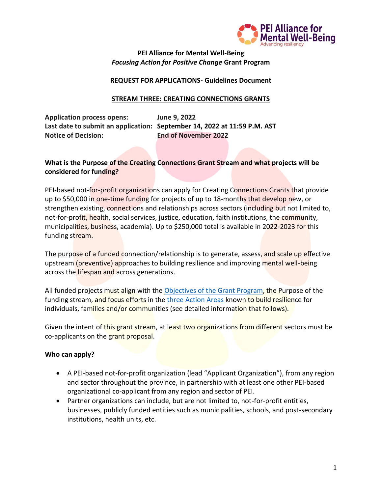

## **PEI Alliance for Mental Well-Being** *Focusing Action for Positive Change* **Grant Program**

### **REQUEST FOR APPLICATIONS- Guidelines Document**

### **STREAM THREE: CREATING CONNECTIONS GRANTS**

**Application process opens: June 9, 2022 Last date to submit an application: September 14, 2022 at 11:59 P.M. AST Notice of Decision: End of November 2022**

## **What is the Purpose of the Creating Connections Grant Stream and what projects will be considered for funding?**

PEI-based not-for-profit organizations can apply for Creating Connections Grants that provide up to \$50,000 in one-time funding for projects of up to 18-months that develop new, or strengthen existing, connections and relationships across sectors (including but not limited to, not-for-profit, health, social services, justice, education, faith institutions, the community, municipalities, business, academia). Up to \$250,000 total is available in 2022-2023 for this funding stream.

The purpose of a funded connection/relationship is to generate, assess, and scale up effective upstream (preventive) approaches to building resilience and improving mental well-being across the lifespan and across generations.

All funded projects must align with the [Objectives of the Grant Program,](https://allianceformentalwellbeing.com/grants/) the Purpose of the funding stream, and focus efforts in the [three Action Areas](https://allianceformentalwellbeing.com/grants/) known to build resilience for individuals, families and/or communities (see detailed information that follows).

Given the intent of this grant stream, at least two organizations from different sectors must be co-applicants on the grant proposal.

### **Who can apply?**

- A PEI-based not-for-profit organization (lead "Applicant Organization"), from any region and sector throughout the province, in partnership with at least one other PEI-based organizational co-applicant from any region and sector of PEI.
- Partner organizations can include, but are not limited to, not-for-profit entities, businesses, publicly funded entities such as municipalities, schools, and post-secondary institutions, health units, etc.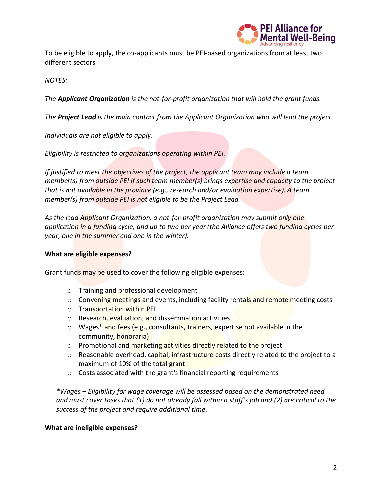

To be eligible to apply, the co-applicants must be PEI-based organizations from at least two different sectors.

*NOTES:* 

*The Applicant Organization is the not-for-profit organization that will hold the grant funds.* 

*The Project Lead is the main contact from the Applicant Organization who will lead the project.* 

*Individuals are not eligible to apply.* 

*Eligibility is restricted to organizations operating within PEI.* 

*If justified to meet the objectives of the project, the applicant team may include a team member(s) from outside PEI if such team member(s) brings expertise and capacity to the project that is not available in the province (e.g., research and/or evaluation expertise). A team member(s) from outside PEI is not eligible to be the Project Lead.*

*As the lead Applicant Organization, a not-for-profit organization may submit only one application in a funding cycle, and up to two per year (the Alliance offers two funding cycles per year, one in the summer and one in the winter).* 

## **What are eligible expenses?**

Grant funds may be used to cover the following eligible expenses:

- o Training and professional development
- $\circ$  Convening meetings and events, including facility rentals and remote meeting costs
- o Transportation within PEI
- o Research, evaluation, and dissemination activities
- o Wages\* and fees (e.g., consultants, trainers, expertise not available in the community, honoraria)
- $\circ$  Promotional and marketing activities directly related to the project
- o Reasonable overhead, capital, infrastructure costs directly related to the project to a maximum of 10% of the total grant
- o Costs associated with the grant's financial reporting requirements

*\*Wages – Eligibility for wage coverage will be assessed based on the demonstrated need and must cover tasks that (1) do not already fall within a staff's job and (2) are critical to the success of the project and require additional time*.

### **What are ineligible expenses?**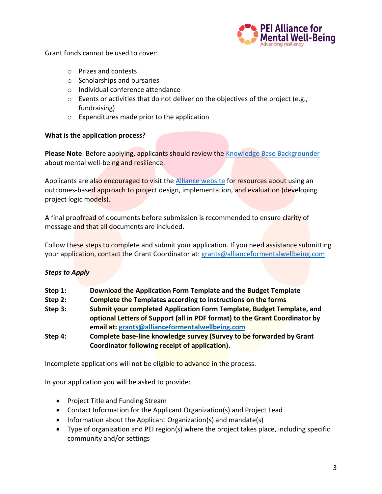

Grant funds cannot be used to cover:

- o Prizes and contests
- o Scholarships and bursaries
- o Individual conference attendance
- $\circ$  Events or activities that do not deliver on the objectives of the project (e.g., fundraising)
- o Expenditures made prior to the application

## **What is the application process?**

**Please Note**: Before applying, applicants should review the [Knowledge Base Backgrounder](https://allianceformentalwellbeing.com/wp-content/uploads/2021/12/FINAL-Knowledge-Base-1.pdf) about mental well-being and resilience.

Applicants are also encouraged to visit the [Alliance website](https://allianceformentalwellbeing.com/) for resources about using an outcomes-based approach to project design, implementation, and evaluation (developing project logic models).

A final proofread of documents before submission is recommended to ensure clarity of message and that all documents are included.

Follow these steps to complete and submit your application. If you need assistance submitting your application, contact the Grant Coordinator at: [grants@allianceformentalwellbeing.com](mailto:grants@allianceformentalwellbeing.com)

## *Steps to Apply*

| Step 1: | Download the Application Form Template and the Budget Template |  |
|---------|----------------------------------------------------------------|--|
|         |                                                                |  |

**Step 2: Complete the Templates according to instructions on the forms**

- **Step 3: Submit your completed Application Form Template, Budget Template, and optional Letters of Support (all in PDF format) to the Grant Coordinator by email at: [grants@allianceformentalwellbeing.com](mailto:grants@allianceformentalwellbeing.com)**
- **Step 4: Complete base-line knowledge survey (Survey to be forwarded by Grant Coordinator following receipt of application).**

Incomplete applications will not be eligible to advance in the process.

In your application you will be asked to provide:

- Project Title and Funding Stream
- Contact Information for the Applicant Organization(s) and Project Lead
- Information about the Applicant Organization(s) and mandate(s)
- Type of organization and PEI region(s) where the project takes place, including specific community and/or settings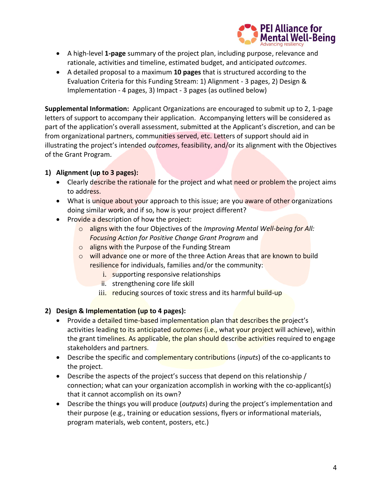

- A high-level **1-page** summary of the project plan, including purpose, relevance and rationale, activities and timeline, estimated budget, and anticipated *outcomes*.
- A detailed proposal to a maximum **10 pages** that is structured according to the Evaluation Criteria for this Funding Stream: 1) Alignment - 3 pages, 2) Design & Implementation - 4 pages, 3) Impact - 3 pages (as outlined below)

**Supplemental Information:** Applicant Organizations are encouraged to submit up to 2, 1-page letters of support to accompany their application. Accompanying letters will be considered as part of the application's overall assessment, submitted at the Applicant's discretion, and can be from organizational partners, communities served, etc. Letters of support should aid in illustrating the project's intended *outcomes*, feasibility, and/or its alignment with the Objectives of the Grant Program.

# **1) Alignment (up to 3 pages):**

- Clearly describe the rationale for the project and what need or problem the project aims to address.
- What is unique about your approach to this issue; are you aware of other organizations doing similar work, and if so, how is your project different?
- Provide a description of how the project:
	- o aligns with the four Objectives of the *Improving Mental Well-being for All: Focusing Action for Positive Change Grant Program* and
	- o aligns with the Purpose of the Funding Stream
	- $\circ$  will advance one or more of the three Action Areas that are known to build resilience for individuals, families and/or the community:
		- i. supporting responsive relationships
		- ii. strengthening core life skill
		- iii. reducing sources of toxic stress and its harmful build-up

## **2) Design & Implementation (up to 4 pages):**

- Provide a detailed time-based implementation plan that describes the project's activities leading to its anticipated *outcomes* (i.e., what your project will achieve), within the grant timelines. As applicable, the plan should describe activities required to engage stakeholders and partners.
- Describe the specific and complementary contributions (*inputs*) of the co-applicants to the project.
- Describe the aspects of the project's success that depend on this relationship / connection; what can your organization accomplish in working with the co-applicant(s) that it cannot accomplish on its own?
- Describe the things you will produce (*outputs*) during the project's implementation and their purpose (e.g., training or education sessions, flyers or informational materials, program materials, web content, posters, etc.)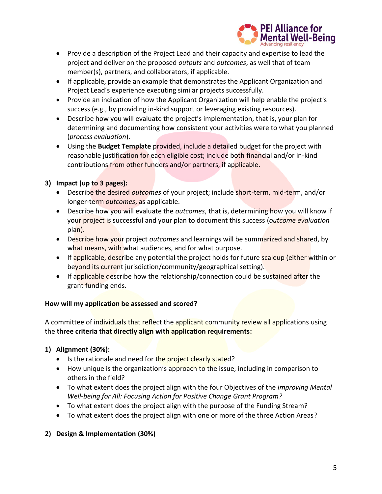

- Provide a description of the Project Lead and their capacity and expertise to lead the project and deliver on the proposed *outputs* and *outcomes*, as well that of team member(s), partners, and collaborators, if applicable.
- If applicable, provide an example that demonstrates the Applicant Organization and Project Lead's experience executing similar projects successfully.
- Provide an indication of how the Applicant Organization will help enable the project's success (e.g., by providing in-kind support or leveraging existing resources).
- Describe how you will evaluate the project's implementation, that is, your plan for determining and documenting how consistent your activities were to what you planned (*process evaluation*).
- Using the **Budget Template** provided, include a detailed budget for the project with reasonable justification for each eligible cost; include both financial and/or in-kind contributions from other funders and/or partners, if applicable.

# **3) Impact (up to 3 pages):**

- Describe the desired *outcomes* of your project; include short-term, mid-term, and/or longer-term *outcomes*, as applicable.
- Describe how you will evaluate the *outcomes*, that is, determining how you will know if your project is successful and your plan to document this success (*outcome evaluation* plan).
- Describe how your project *outcomes* and learnings will be summarized and shared, by what means, with what audiences, and for what purpose.
- If applicable, describe any potential the project holds for future scaleup (either within or beyond its current jurisdiction/community/geographical setting).
- If applicable describe how the relationship/connection could be sustained after the grant funding ends.

## **How will my application be assessed and scored?**

A committee of individuals that reflect the applicant community review all applications using the **three criteria that directly align with application requirements:**

# **1) Alignment (30%):**

- Is the rationale and need for the project clearly stated?
- How unique is the organization's approach to the issue, including in comparison to others in the field?
- To what extent does the project align with the four Objectives of the *Improving Mental Well-being for All: Focusing Action for Positive Change Grant Program?*
- To what extent does the project align with the purpose of the Funding Stream?
- To what extent does the project align with one or more of the three Action Areas?

# **2) Design & Implementation (30%)**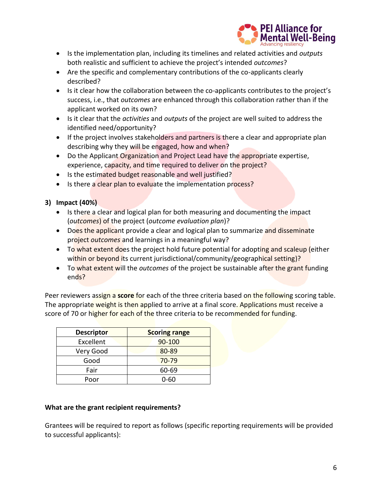

- Is the implementation plan, including its timelines and related activities and *outputs*  both realistic and sufficient to achieve the project's intended *outcomes*?
- Are the specific and complementary contributions of the co-applicants clearly described?
- Is it clear how the collaboration between the co-applicants contributes to the project's success, i.e., that *outcomes* are enhanced through this collaboration rather than if the applicant worked on its own?
- Is it clear that the *activities* and *outputs* of the project are well suited to address the identified need/opportunity?
- If the project involves stakeholders and partners is there a clear and appropriate plan describing why they will be engaged, how and when?
- Do the Applicant Organization and Project Lead have the appropriate expertise, experience, capacity, and time required to deliver on the project?
- Is the estimated budget reasonable and well justified?
- Is there a clear plan to evaluate the implementation process?

# **3) Impact (40%)**

- Is there a clear and logical plan for both measuring and documenting the impact (*outcomes*) of the project (*outcome evaluation plan*)?
- Does the applicant provide a clear and logical plan to summarize and disseminate project *outcomes* and learnings in a meaningful way?
- To what extent does the project hold future potential for adopting and scaleup (either within or beyond its current jurisdictional/community/geographical setting)?
- To what extent will the *outcomes* of the project be sustainable after the grant funding ends?

Peer reviewers assign a **score** for each of the three criteria based on the following scoring table. The appropriate weight is then applied to arrive at a final score. Applications must receive a score of 70 or higher for each of the three criteria to be recommended for funding.

| <b>Descriptor</b> | <b>Scoring range</b> |  |
|-------------------|----------------------|--|
| Excellent         | 90-100               |  |
| Very Good         | 80-89                |  |
| Good              | 70-79                |  |
| Fair              | 60-69                |  |
| Poor              | 0-60                 |  |

### **What are the grant recipient requirements?**

Grantees will be required to report as follows (specific reporting requirements will be provided to successful applicants):